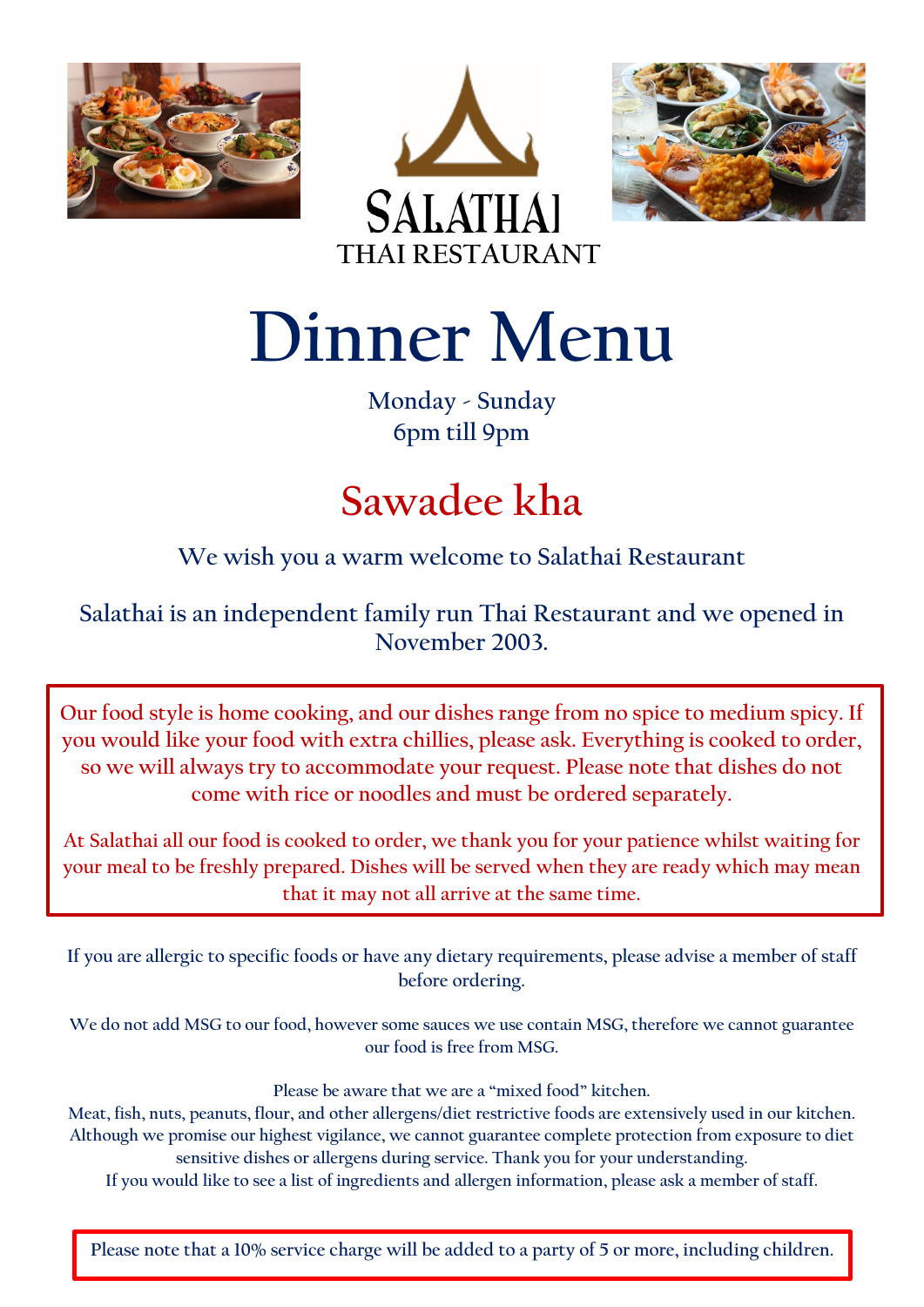





**Dinner Menu**

**Monday - Sunday 6pm till 9pm**

# **Sawadee kha**

**We wish you a warm welcome to Salathai Restaurant**

**Salathai is an independent family run Thai Restaurant and we opened in November 2003.**

**Our food style is home cooking, and our dishes range from no spice to medium spicy. If you would like your food with extra chillies, please ask. Everything is cooked to order, so we will always try to accommodate your request. Please note that dishes do not come with rice or noodles and must be ordered separately.**

**At Salathai all our food is cooked to order, we thank you for your patience whilst waiting for your meal to be freshly prepared. Dishes will be served when they are ready which may mean that it may not all arrive at the same time.**

**If you are allergic to specific foods or have any dietary requirements, please advise a member of staff before ordering.**

**We do not add MSG to our food, however some sauces we use contain MSG, therefore we cannot guarantee our food is free from MSG.**

**Please be aware that we are a "mixed food" kitchen.**

**Meat, fish, nuts, peanuts, flour, and other allergens/diet restrictive foods are extensively used in our kitchen. Although we promise our highest vigilance, we cannot guarantee complete protection from exposure to diet sensitive dishes or allergens during service. Thank you for your understanding.**

**If you would like to see a list of ingredients and allergen information, please ask a member of staff.**

**Please note that a 10% service charge will be added to a party of 5 or more, including children.**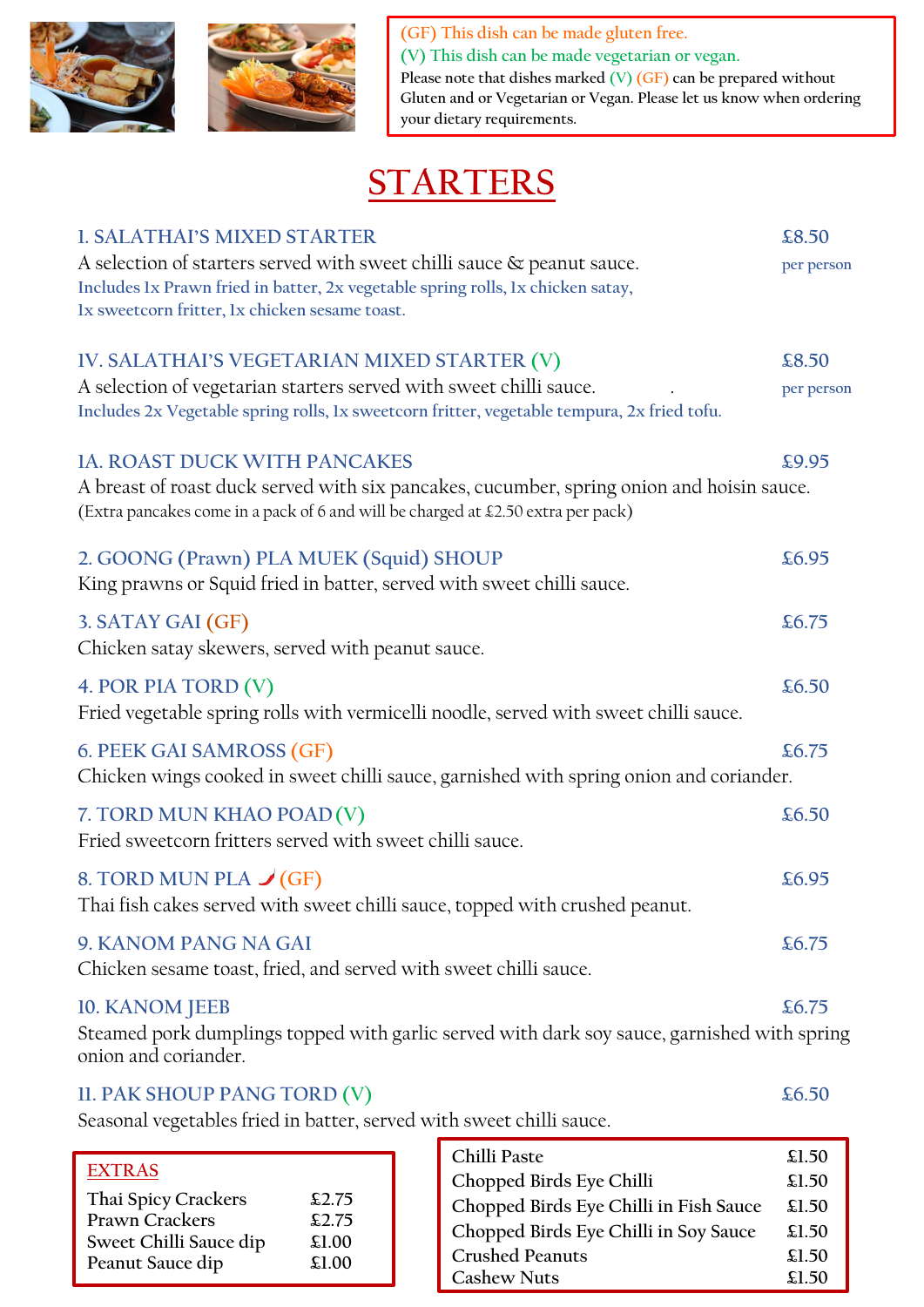



**(GF) This dish can be made gluten free. (V) This dish can be made vegetarian or vegan. Please note that dishes marked (V) (GF) can be prepared without Gluten and or Vegetarian or Vegan. Please let us know when ordering your dietary requirements.**

# **STARTERS**

| <b>1. SALATHAI'S MIXED STARTER</b>                                                                                                                                            | £8.50      |
|-------------------------------------------------------------------------------------------------------------------------------------------------------------------------------|------------|
| A selection of starters served with sweet chilli sauce & peanut sauce.<br>Includes Ix Prawn fried in batter, 2x vegetable spring rolls, 1x chicken satay,                     | per person |
| Ix sweetcorn fritter, Ix chicken sesame toast.                                                                                                                                |            |
| IV. SALATHAI'S VEGETARIAN MIXED STARTER (V)                                                                                                                                   | £8.50      |
| A selection of vegetarian starters served with sweet chilli sauce.<br>Includes 2x Vegetable spring rolls, 1x sweetcorn fritter, vegetable tempura, 2x fried tofu.             | per person |
| <b>1A. ROAST DUCK WITH PANCAKES</b>                                                                                                                                           | £9.95      |
| A breast of roast duck served with six pancakes, cucumber, spring onion and hoisin sauce.<br>(Extra pancakes come in a pack of 6 and will be charged at £2.50 extra per pack) |            |
| 2. GOONG (Prawn) PLA MUEK (Squid) SHOUP                                                                                                                                       | £6.95      |
| King prawns or Squid fried in batter, served with sweet chilli sauce.                                                                                                         |            |
| 3. SATAY GAI (GF)<br>Chicken satay skewers, served with peanut sauce.                                                                                                         | £6.75      |
| 4. POR PIA TORD (V)<br>Fried vegetable spring rolls with vermicelli noodle, served with sweet chilli sauce.                                                                   | £6.50      |
|                                                                                                                                                                               |            |
| 6. PEEK GAI SAMROSS (GF)<br>Chicken wings cooked in sweet chilli sauce, garnished with spring onion and coriander.                                                            | £6.75      |
| 7. TORD MUN KHAO POAD(V)<br>Fried sweetcorn fritters served with sweet chilli sauce.                                                                                          | £6.50      |
| 8. TORD MUN PLA $\check{J}(GF)$<br>Thai fish cakes served with sweet chilli sauce, topped with crushed peanut.                                                                | £6.95      |
| 9. KANOM PANG NA GAI<br>Chicken sesame toast, fried, and served with sweet chilli sauce.                                                                                      | £6.75      |
| 10. KANOM JEEB<br>Steamed pork dumplings topped with garlic served with dark soy sauce, garnished with spring<br>onion and coriander.                                         | £6.75      |
| II. PAK SHOUP PANG TORD (V)                                                                                                                                                   | £6.50      |

Seasonal vegetables fried in batter, served with sweet chilli sauce.

| <b>EXTRAS</b><br>Thai Spicy Crackers<br>\$2.75<br><b>Prawn Crackers</b> | Chilli Paste<br>Chopped Birds Eye Chilli | £1.50<br>\$1.50 |
|-------------------------------------------------------------------------|------------------------------------------|-----------------|
|                                                                         | Chopped Birds Eye Chilli in Fish Sauce   | \$1.50          |
| \$2.75<br>Sweet Chilli Sauce dip<br>£1.00                               | Chopped Birds Eye Chilli in Soy Sauce    | £1.50           |
| Peanut Sauce dip<br>\$1.00                                              | <b>Crushed Peanuts</b>                   | £1.50           |
|                                                                         | <b>Cashew Nuts</b>                       | \$1.50          |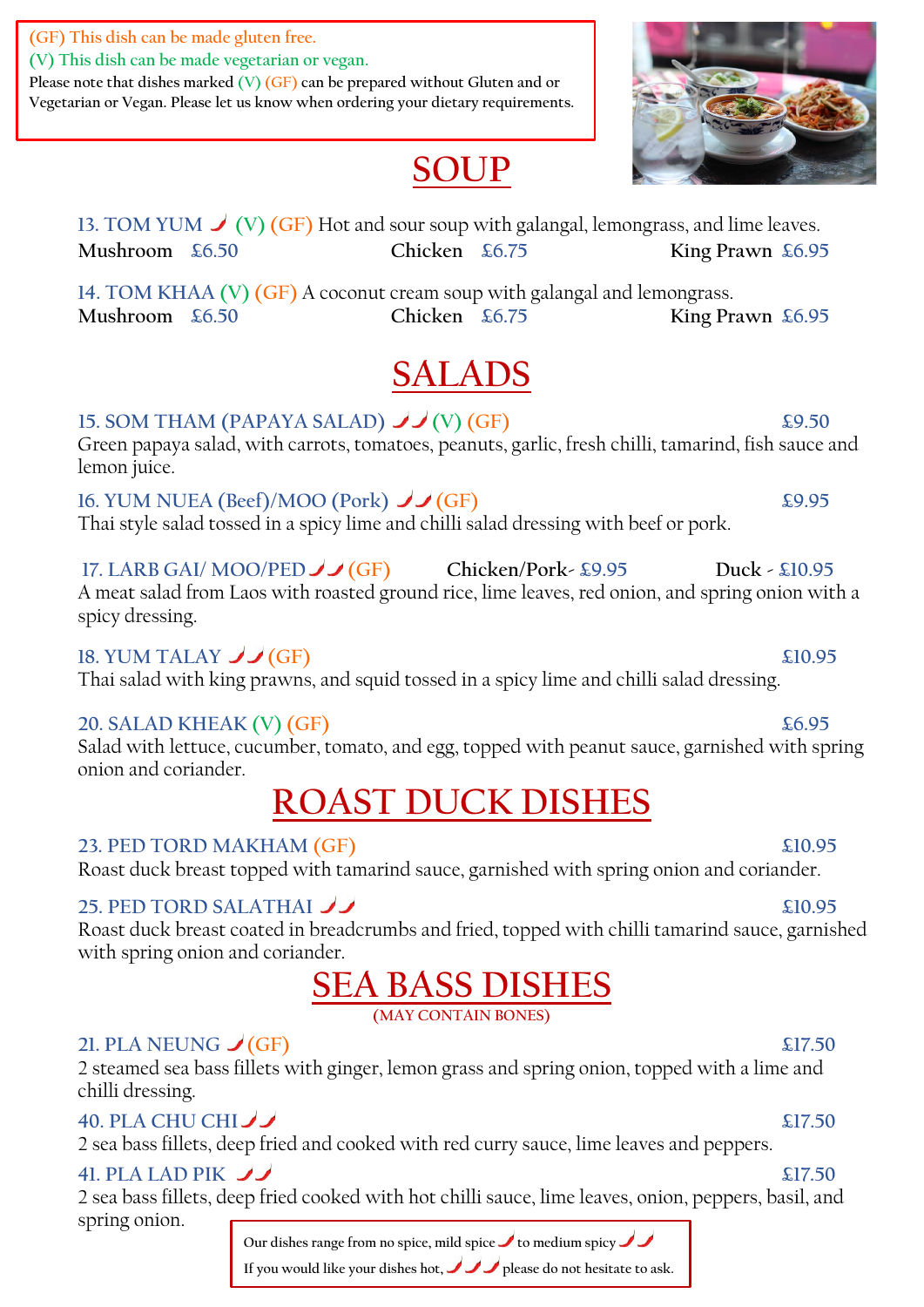**(GF) This dish can be made gluten free.**

**(V) This dish can be made vegetarian or vegan.**

**Please note that dishes marked (V) (GF) can be prepared without Gluten and or Vegetarian or Vegan. Please let us know when ordering your dietary requirements.**

# **SOUP**

13. TOM YUM  $\bigvee$  (V) (GF) Hot and sour soup with galangal, lemongrass, and lime leaves. **Mushroom £6.50 Chicken £6.75 King Prawn £6.95**

**14. TOM KHAA (V) (GF)** A coconut cream soup with galangal and lemongrass. **Mushroom £6.50 Chicken £6.75 King Prawn £6.95**

# **SALADS**

#### **15. SOM THAM (PAPAYA SALAD)**  $\bigcup$  (V) (GF)  $\qquad$  £9.50

Green papaya salad, with carrots, tomatoes, peanuts, garlic, fresh chilli, tamarind, fish sauce and lemon juice.

**16. YUM NUEA (Beef)/MOO (Pork)**  $\bigcup$  (GF)  $\bigcup$  (GF)  $\bigcup$  £9.95 Thai style salad tossed in a spicy lime and chilli salad dressing with beef or pork.

**17. LARB GAI/ MOO/PED (GF) Chicken/Pork- £9.95 Duck - £10.95**  A meat salad from Laos with roasted ground rice, lime leaves, red onion, and spring onion with a

spicy dressing.

### **18. YUM TALAY**   $\bigcup$  (GF) **E10.95**

Thai salad with king prawns, and squid tossed in a spicy lime and chilli salad dressing.

#### **20. SALAD KHEAK (V) (GF) £6.95**

Salad with lettuce, cucumber, tomato, and egg, topped with peanut sauce, garnished with spring onion and coriander.

# **ROAST DUCK DISHES**

**23. PED TORD MAKHAM (GF) £10.95** 

Roast duck breast topped with tamarind sauce, garnished with spring onion and coriander.

### **25. PED TORD SALATHAI 22. 20.95**

Roast duck breast coated in breadcrumbs and fried, topped with chilli tamarind sauce, garnished with spring onion and coriander.

# **SEA BASS DISHES**

**(MAY CONTAIN BONES)** 

### **21. PLA NEUNG**  $\bigcup$  (GF) **21. 21. 21.50**

2 steamed sea bass fillets with ginger, lemon grass and spring onion, topped with a lime and chilli dressing.

### **40. PLA CHU CHI**  $\bigcup$

2 sea bass fillets, deep fried and cooked with red curry sauce, lime leaves and peppers.

### **41. PLA LAD PIK**

2 sea bass fillets, deep fried cooked with hot chilli sauce, lime leaves, onion, peppers, basil, and spring onion.

**Our dishes range from no spice, mild spice to medium spicy**

**If you would like your dishes hot, please do not hesitate to ask.**

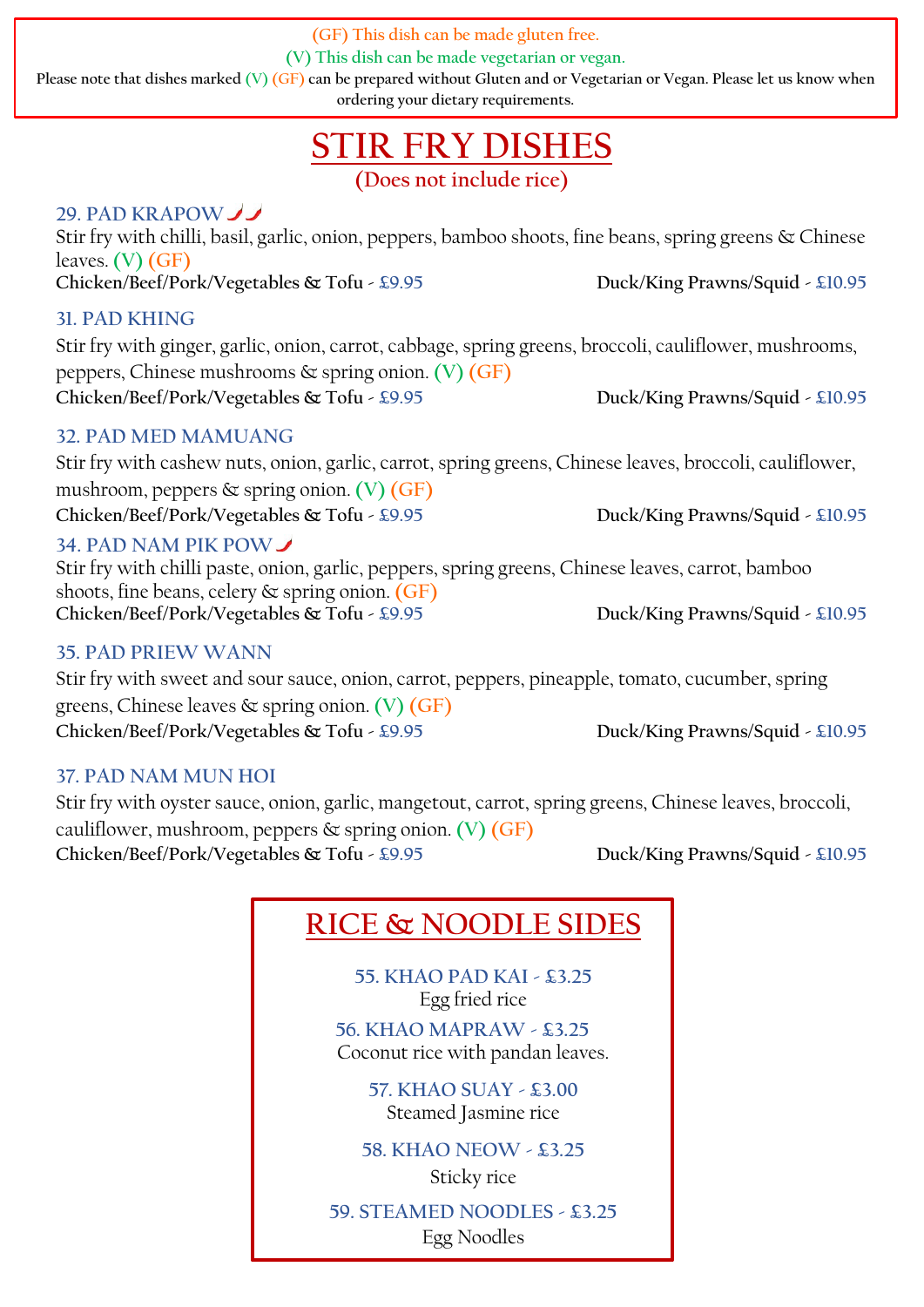**(GF) This dish can be made gluten free.**

**(V) This dish can be made vegetarian or vegan.**

**Please note that dishes marked (V) (GF) can be prepared without Gluten and or Vegetarian or Vegan. Please let us know when ordering your dietary requirements.**

# **STIR FRY DISHES**

**(Does not include rice)** 

#### **29. PAD KRAPOW**

Stir fry with chilli, basil, garlic, onion, peppers, bamboo shoots, fine beans, spring greens & Chinese leaves. **(V) (GF) Chicken/Beef/Pork/Vegetables & Tofu - £9.95 Duck/King Prawns/Squid - £10.95**

#### **31. PAD KHING**

Stir fry with ginger, garlic, onion, carrot, cabbage, spring greens, broccoli, cauliflower, mushrooms, peppers, Chinese mushrooms & spring onion. **(V) (GF) Chicken/Beef/Pork/Vegetables & Tofu - £9.95 Duck/King Prawns/Squid - £10.95**

#### **32. PAD MED MAMUANG**

Stir fry with cashew nuts, onion, garlic, carrot, spring greens, Chinese leaves, broccoli, cauliflower, mushroom, peppers & spring onion. **(V) (GF) Chicken/Beef/Pork/Vegetables & Tofu - £9.95 Duck/King Prawns/Squid - £10.95** 

#### **34. PAD NAM PIK POW**

Stir fry with chilli paste, onion, garlic, peppers, spring greens, Chinese leaves, carrot, bamboo shoots, fine beans, celery & spring onion. **(GF) Chicken/Beef/Pork/Vegetables & Tofu - £9.95 Duck/King Prawns/Squid - £10.95**

#### **35. PAD PRIEW WANN**

Stir fry with sweet and sour sauce, onion, carrot, peppers, pineapple, tomato, cucumber, spring greens, Chinese leaves & spring onion. **(V) (GF) Chicken/Beef/Pork/Vegetables & Tofu - £9.95 Duck/King Prawns/Squid - £10.95**

#### **37. PAD NAM MUN HOI**

Stir fry with oyster sauce, onion, garlic, mangetout, carrot, spring greens, Chinese leaves, broccoli, cauliflower, mushroom, peppers & spring onion. **(V) (GF) Chicken/Beef/Pork/Vegetables & Tofu - £9.95 Duck/King Prawns/Squid - £10.95**

## **RICE & NOODLE SIDES**

**55. KHAO PAD KAI - £3.25** Egg fried rice **56. KHAO MAPRAW - £3.25** Coconut rice with pandan leaves.

> **57. KHAO SUAY - £3.00** Steamed Jasmine rice

**58. KHAO NEOW - £3.25** Sticky rice

**59. STEAMED NOODLES - £3.25** Egg Noodles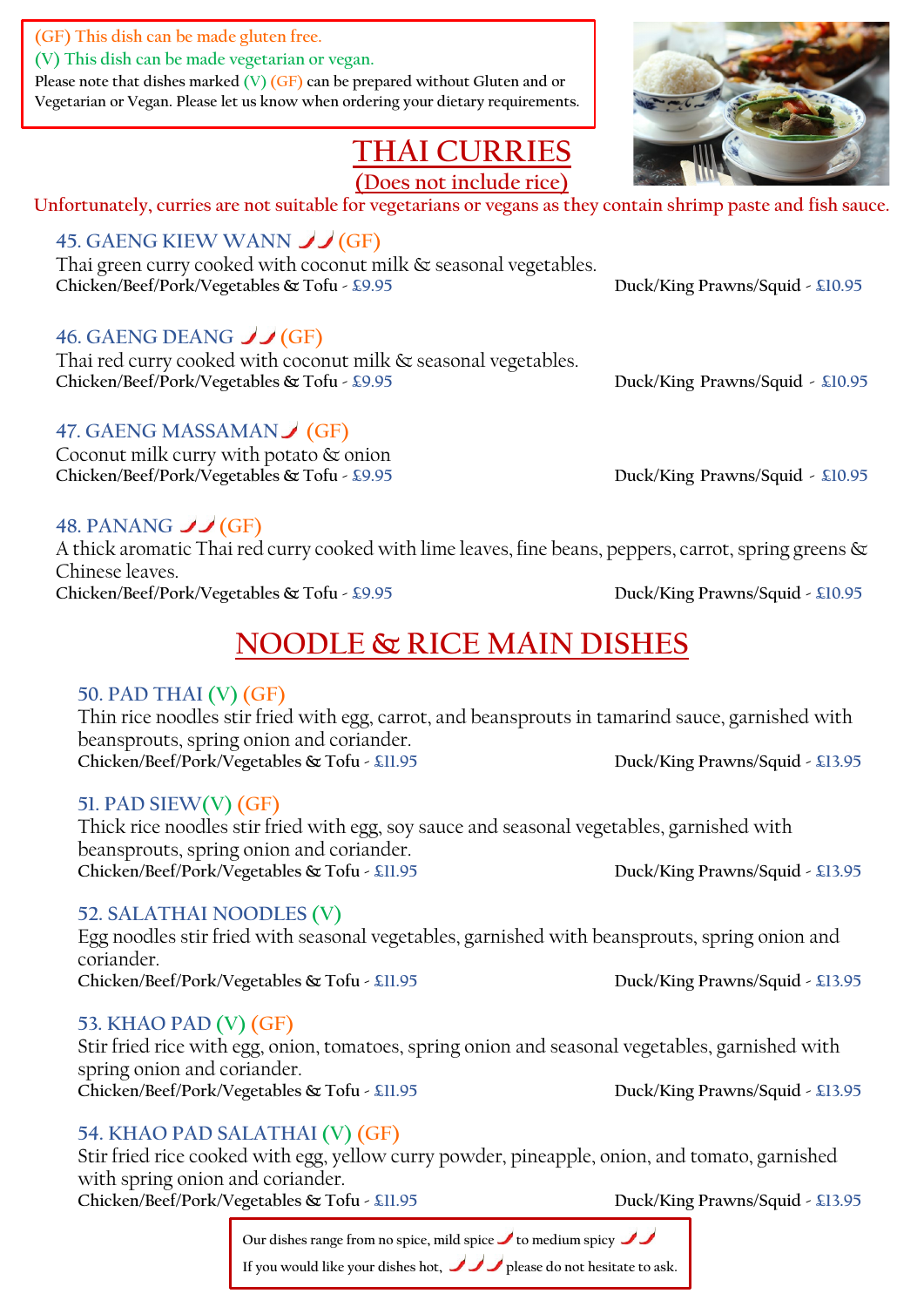**(GF) This dish can be made gluten free.**

**(V) This dish can be made vegetarian or vegan.**

**Please note that dishes marked (V) (GF) can be prepared without Gluten and or Vegetarian or Vegan. Please let us know when ordering your dietary requirements.**

## **THAI CURRIES**

**(Does not include rice)**

**Unfortunately, curries are not suitable for vegetarians or vegans as they contain shrimp paste and fish sauce.**

### **45. GAENG KIEW WANN JJ (GF)**

Thai green curry cooked with coconut milk & seasonal vegetables. **Chicken/Beef/Pork/Vegetables & Tofu - £9.95 Duck/King Prawns/Squid - £10.95**

### **46. GAENG DEANG J (GF)**

Thai red curry cooked with coconut milk & seasonal vegetables. Chicken/Beef/Pork/Vegetables & Tofu - £9.95 Duck/King Prawns/Squid - £10.95

#### **47. GAENG MASSAMAN (GF)**

Coconut milk curry with potato & onion Chicken/Beef/Pork/Vegetables & Tofu - £9.95 Duck/King Prawns/Squid - £10.95

### **48. PANANG**   $\bigcup$  (GF)

A thick aromatic Thai red curry cooked with lime leaves, fine beans, peppers, carrot, spring greens & Chinese leaves. **Chicken/Beef/Pork/Vegetables & Tofu - £9.95 Duck/King Prawns/Squid - £10.95**

## **NOODLE & RICE MAIN DISHES**

#### **50. PAD THAI (V) (GF)**

Thin rice noodles stir fried with egg, carrot, and beansprouts in tamarind sauce, garnished with beansprouts, spring onion and coriander. Chicken/Beef/Pork/Vegetables & Tofu - £11.95 Duck/King Prawns/Squid - £13.95

#### **51. PAD SIEW(V) (GF)**

Thick rice noodles stir fried with egg, soy sauce and seasonal vegetables, garnished with beansprouts, spring onion and coriander. Chicken/Beef/Pork/Vegetables & Tofu - £11.95 Duck/King Prawns/Squid - £13.95

#### **52. SALATHAI NOODLES (V)**

Egg noodles stir fried with seasonal vegetables, garnished with beansprouts, spring onion and coriander. Chicken/Beef/Pork/Vegetables & Tofu - £11.95 Duck/King Prawns/Squid - £13.95

#### **53. KHAO PAD (V) (GF)**

Stir fried rice with egg, onion, tomatoes, spring onion and seasonal vegetables, garnished with spring onion and coriander. **Chicken/Beef/Pork/Vegetables & Tofu - £11.95 Duck/King Prawns/Squid - £13.95**

### **54. KHAO PAD SALATHAI (V) (GF)**

Stir fried rice cooked with egg, yellow curry powder, pineapple, onion, and tomato, garnished with spring onion and coriander. Chicken/Beef/Pork/Vegetables & Tofu - £11.95 Duck/King Prawns/Squid - £13.95

**Our dishes range from no spice, mild spice to medium spicy If you would like your dishes hot, please do not hesitate to ask.**

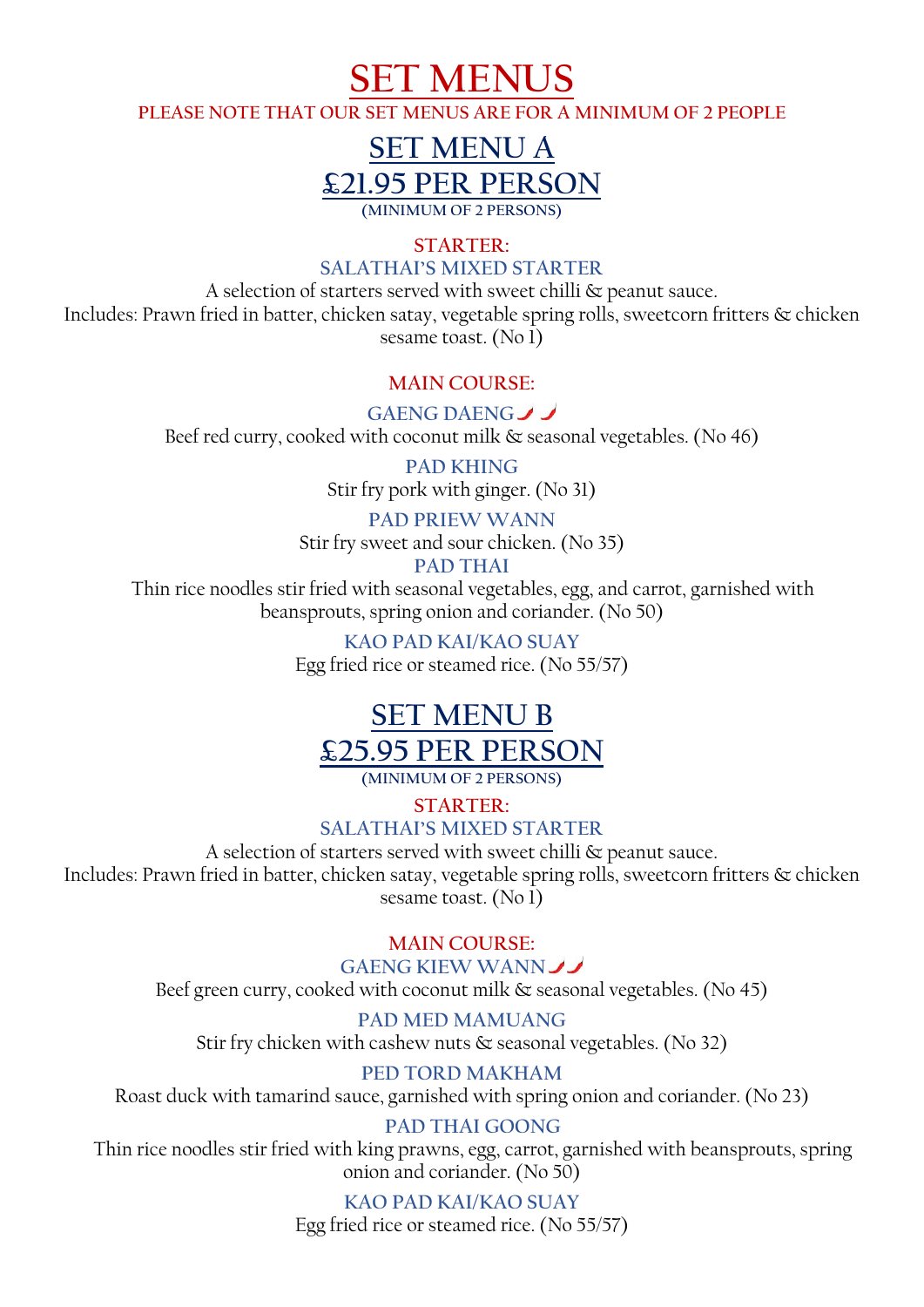**SET MENUS**

**PLEASE NOTE THAT OUR SET MENUS ARE FOR A MINIMUM OF 2 PEOPLE**

## **SET MENU A £21.95 PER PERSON (MINIMUM OF 2 PERSONS)**

**STARTER:** 

#### **SALATHAI'S MIXED STARTER**

A selection of starters served with sweet chilli & peanut sauce. Includes: Prawn fried in batter, chicken satay, vegetable spring rolls, sweetcorn fritters & chicken sesame toast. (No 1)

#### **MAIN COURSE:**

**GAENG DAENG** Beef red curry, cooked with coconut milk & seasonal vegetables. (No 46)

> **PAD KHING** Stir fry pork with ginger. (No 31)

#### **PAD PRIEW WANN**

Stir fry sweet and sour chicken. (No 35)

#### **PAD THAI**

Thin rice noodles stir fried with seasonal vegetables, egg, and carrot, garnished with beansprouts, spring onion and coriander. (No 50)

> **KAO PAD KAI/KAO SUAY** Egg fried rice or steamed rice. (No 55/57)

## **SET MENU B £25.95 PER PERSON**

**(MINIMUM OF 2 PERSONS)** 

**STARTER:** 

#### **SALATHAI'S MIXED STARTER**

A selection of starters served with sweet chilli & peanut sauce. Includes: Prawn fried in batter, chicken satay, vegetable spring rolls, sweetcorn fritters & chicken sesame toast. (No 1)

#### **MAIN COURSE:**

**GAENG KIEW WANN**

Beef green curry, cooked with coconut milk  $\&$  seasonal vegetables. (No 45)

#### **PAD MED MAMUANG**

Stir fry chicken with cashew nuts  $\&$  seasonal vegetables. (No 32)

#### **PED TORD MAKHAM**

Roast duck with tamarind sauce, garnished with spring onion and coriander. (No 23)

#### **PAD THAI GOONG**

Thin rice noodles stir fried with king prawns, egg, carrot, garnished with beansprouts, spring onion and coriander. (No 50)

#### **KAO PAD KAI/KAO SUAY**

Egg fried rice or steamed rice. (No 55/57)